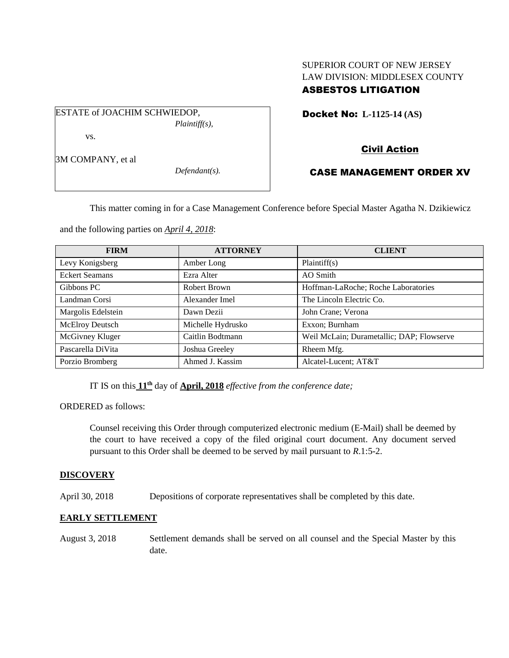# SUPERIOR COURT OF NEW JERSEY LAW DIVISION: MIDDLESEX COUNTY ASBESTOS LITIGATION

ESTATE of JOACHIM SCHWIEDOP, *Plaintiff(s),* vs.

Docket No: **L-1125-14 (AS)** 

# Civil Action

3M COMPANY, et al

*Defendant(s).*

# CASE MANAGEMENT ORDER XV

This matter coming in for a Case Management Conference before Special Master Agatha N. Dzikiewicz

and the following parties on *April 4, 2018*:

| <b>FIRM</b>           | <b>ATTORNEY</b>   | <b>CLIENT</b>                             |
|-----------------------|-------------------|-------------------------------------------|
| Levy Konigsberg       | Amber Long        | Plaintiff(s)                              |
| <b>Eckert Seamans</b> | Ezra Alter        | AO Smith                                  |
| Gibbons PC            | Robert Brown      | Hoffman-LaRoche; Roche Laboratories       |
| Landman Corsi         | Alexander Imel    | The Lincoln Electric Co.                  |
| Margolis Edelstein    | Dawn Dezii        | John Crane; Verona                        |
| McElroy Deutsch       | Michelle Hydrusko | Exxon; Burnham                            |
| McGivney Kluger       | Caitlin Bodtmann  | Weil McLain; Durametallic; DAP; Flowserve |
| Pascarella DiVita     | Joshua Greeley    | Rheem Mfg.                                |
| Porzio Bromberg       | Ahmed J. Kassim   | Alcatel-Lucent; AT&T                      |

IT IS on this **11th** day of **April, 2018** *effective from the conference date;*

ORDERED as follows:

Counsel receiving this Order through computerized electronic medium (E-Mail) shall be deemed by the court to have received a copy of the filed original court document. Any document served pursuant to this Order shall be deemed to be served by mail pursuant to *R*.1:5-2.

## **DISCOVERY**

April 30, 2018 Depositions of corporate representatives shall be completed by this date.

## **EARLY SETTLEMENT**

August 3, 2018 Settlement demands shall be served on all counsel and the Special Master by this date.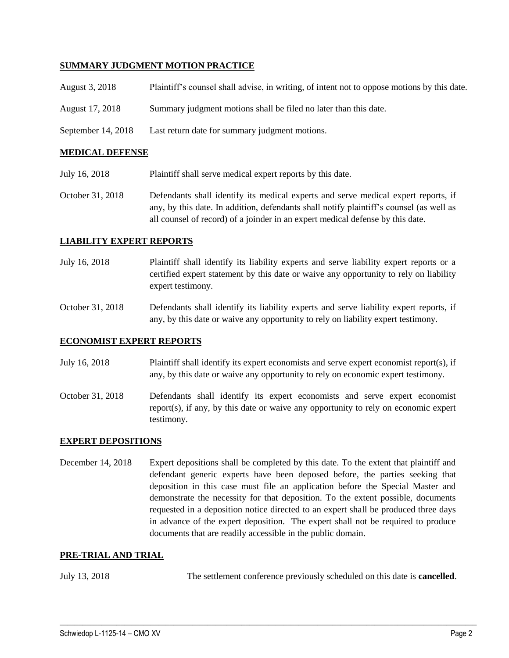### **SUMMARY JUDGMENT MOTION PRACTICE**

| <b>MEDICAL DEFENSE</b> |                                                                                             |  |
|------------------------|---------------------------------------------------------------------------------------------|--|
| September 14, 2018     | Last return date for summary judgment motions.                                              |  |
| August 17, 2018        | Summary judgment motions shall be filed no later than this date.                            |  |
| August 3, 2018         | Plaintiff's counsel shall advise, in writing, of intent not to oppose motions by this date. |  |

### July 16, 2018 Plaintiff shall serve medical expert reports by this date.

October 31, 2018 Defendants shall identify its medical experts and serve medical expert reports, if any, by this date. In addition, defendants shall notify plaintiff's counsel (as well as all counsel of record) of a joinder in an expert medical defense by this date.

### **LIABILITY EXPERT REPORTS**

- July 16, 2018 Plaintiff shall identify its liability experts and serve liability expert reports or a certified expert statement by this date or waive any opportunity to rely on liability expert testimony.
- October 31, 2018 Defendants shall identify its liability experts and serve liability expert reports, if any, by this date or waive any opportunity to rely on liability expert testimony.

#### **ECONOMIST EXPERT REPORTS**

- July 16, 2018 Plaintiff shall identify its expert economists and serve expert economist report(s), if any, by this date or waive any opportunity to rely on economic expert testimony.
- October 31, 2018 Defendants shall identify its expert economists and serve expert economist report(s), if any, by this date or waive any opportunity to rely on economic expert testimony.

#### **EXPERT DEPOSITIONS**

December 14, 2018 Expert depositions shall be completed by this date. To the extent that plaintiff and defendant generic experts have been deposed before, the parties seeking that deposition in this case must file an application before the Special Master and demonstrate the necessity for that deposition. To the extent possible, documents requested in a deposition notice directed to an expert shall be produced three days in advance of the expert deposition. The expert shall not be required to produce documents that are readily accessible in the public domain.

#### **PRE-TRIAL AND TRIAL**

July 13, 2018 The settlement conference previously scheduled on this date is **cancelled**.

 $\_$  ,  $\_$  ,  $\_$  ,  $\_$  ,  $\_$  ,  $\_$  ,  $\_$  ,  $\_$  ,  $\_$  ,  $\_$  ,  $\_$  ,  $\_$  ,  $\_$  ,  $\_$  ,  $\_$  ,  $\_$  ,  $\_$  ,  $\_$  ,  $\_$  ,  $\_$  ,  $\_$  ,  $\_$  ,  $\_$  ,  $\_$  ,  $\_$  ,  $\_$  ,  $\_$  ,  $\_$  ,  $\_$  ,  $\_$  ,  $\_$  ,  $\_$  ,  $\_$  ,  $\_$  ,  $\_$  ,  $\_$  ,  $\_$  ,